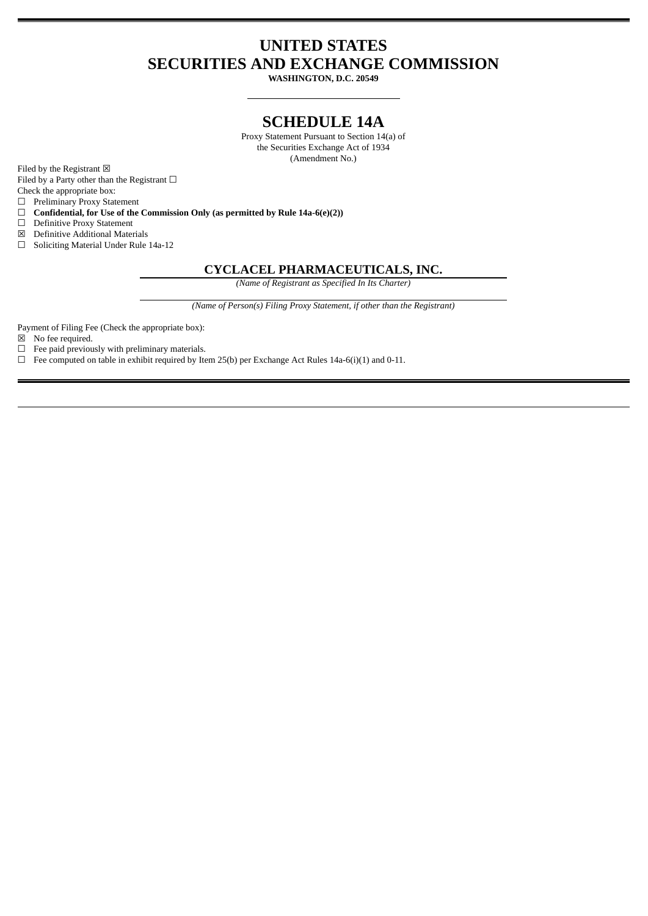# **UNITED STATES SECURITIES AND EXCHANGE COMMISSION**

**WASHINGTON, D.C. 20549**

## **SCHEDULE 14A**

Proxy Statement Pursuant to Section 14(a) of the Securities Exchange Act of 1934 (Amendment No.)

Filed by the Registrant  $\boxtimes$ 

Filed by a Party other than the Registrant  $□$ 

Check the appropriate box:

☐ Preliminary Proxy Statement

☐ **Confidential, for Use of the Commission Only (as permitted by Rule 14a-6(e)(2))**

☐ Definitive Proxy Statement

☒ Definitive Additional Materials

☐ Soliciting Material Under Rule 14a-12

#### **CYCLACEL PHARMACEUTICALS, INC.**

*(Name of Registrant as Specified In Its Charter)*

*(Name of Person(s) Filing Proxy Statement, if other than the Registrant)*

Payment of Filing Fee (Check the appropriate box):

☒ No fee required.

☐ Fee paid previously with preliminary materials.

 $\Box$  Fee computed on table in exhibit required by Item 25(b) per Exchange Act Rules 14a-6(i)(1) and 0-11.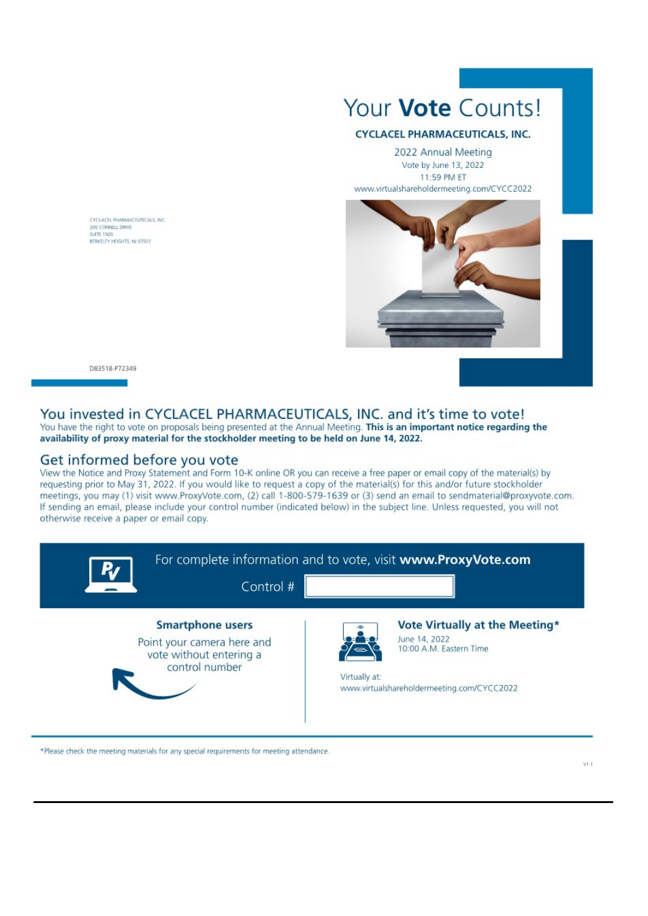CYCLACEL PHARMACEUTICALS, INC. 200 CONNELL DRIVE SUITE 1500 BERKELEY HEIGHTS, NJ 07922

# Your **Vote** Counts!

#### **CYCLACEL PHARMACEUTICALS, INC.**

2022 Annual Meeting Vote by June 13, 2022 11:59 PM ET www.virtualshareholdermeeting.com/CYCC2022



D83518-P72349

## You invested in CYCLACEL PHARMACEUTICALS, INC. and it's time to vote!

You have the right to vote on proposals being presented at the Annual Meeting. This is an important notice regarding the availability of proxy material for the stockholder meeting to be held on June 14, 2022.

#### Get informed before you vote

View the Notice and Proxy Statement and Form 10-K online OR you can receive a free paper or email copy of the material(s) by requesting prior to May 31, 2022. If you would like to request a copy of the material(s) for this and/or future stockholder meetings, you may (1) visit www.ProxyVote.com, (2) call 1-800-579-1639 or (3) send an email to sendmaterial@proxyvote.com. If sending an email, please include your control number (indicated below) in the subject line. Unless requested, you will not otherwise receive a paper or email copy.



\*Please check the meeting materials for any special requirements for meeting attendance.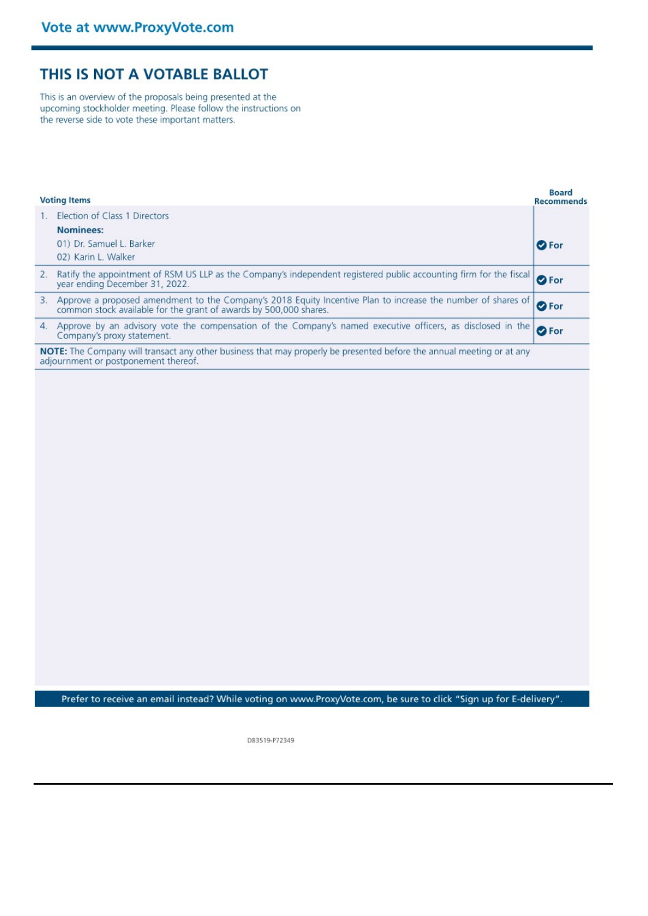# THIS IS NOT A VOTABLE BALLOT

This is an overview of the proposals being presented at the upcoming stockholder meeting. Please follow the instructions on the reverse side to vote these important matters.

| <b>Voting Items</b>                                                                                                                                           |                                                                                                                                                                                   | Board<br><b>Recommends</b> |
|---------------------------------------------------------------------------------------------------------------------------------------------------------------|-----------------------------------------------------------------------------------------------------------------------------------------------------------------------------------|----------------------------|
|                                                                                                                                                               | Election of Class 1 Directors<br>Nominees:<br>01) Dr. Samuel L. Barker<br>02) Karin L. Walker                                                                                     | <b>O</b> For               |
| 2.                                                                                                                                                            | Ratify the appointment of RSM US LLP as the Company's independent registered public accounting firm for the fiscal<br>vear ending December 31, 2022.                              | <b>O</b> For               |
| 3.                                                                                                                                                            | Approve a proposed amendment to the Company's 2018 Equity Incentive Plan to increase the number of shares of<br>common stock available for the grant of awards by 500,000 shares. | <b>O</b> For               |
| 4.                                                                                                                                                            | Approve by an advisory vote the compensation of the Company's named executive officers, as disclosed in the<br>Company's proxy statement.                                         | <b>O</b> For               |
| NOTE: The Company will transact any other business that may properly be presented before the annual meeting or at any<br>adjournment or postponement thereof. |                                                                                                                                                                                   |                            |

**College** 

Prefer to receive an email instead? While voting on www.ProxyVote.com, be sure to click "Sign up for E-delivery".

D83519-P72349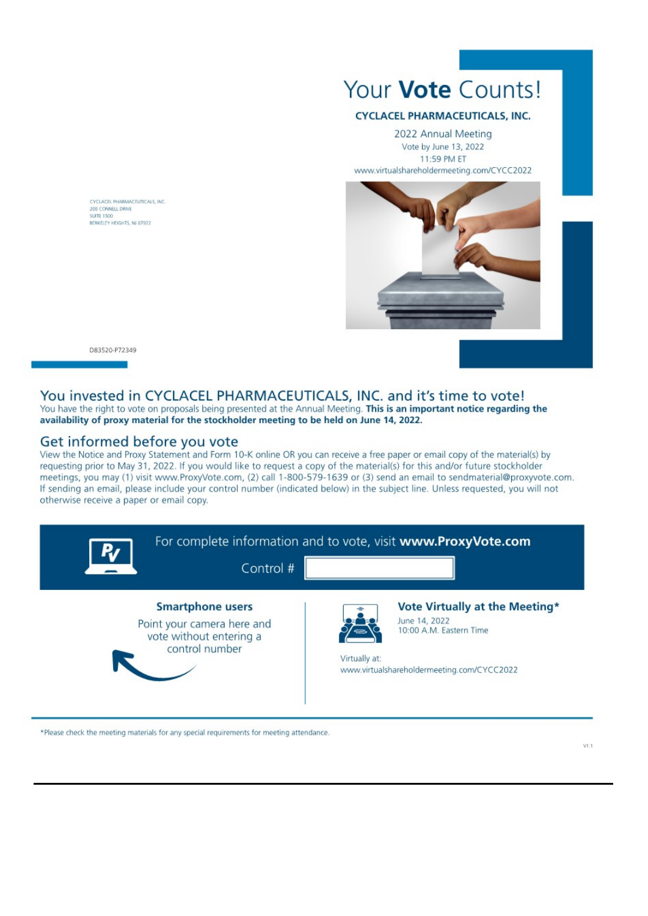

#### **CYCLACEL PHARMACEUTICALS, INC.**

2022 Annual Meeting Vote by June 13, 2022 11:59 PM ET www.virtualshareholdermeeting.com/CYCC2022



CYCLACEL PHARMACEUTICALS, INC. 200 CONNELL DRIVE SUITE 1500 BERKELEY HEIGHTS, NJ 07922

D83520-P72349

#### You invested in CYCLACEL PHARMACEUTICALS, INC. and it's time to vote!

You have the right to vote on proposals being presented at the Annual Meeting. This is an important notice regarding the availability of proxy material for the stockholder meeting to be held on June 14, 2022.

#### Get informed before you vote

View the Notice and Proxy Statement and Form 10-K online OR you can receive a free paper or email copy of the material(s) by requesting prior to May 31, 2022. If you would like to request a copy of the material(s) for this and/or future stockholder meetings, you may (1) visit www.ProxyVote.com, (2) call 1-800-579-1639 or (3) send an email to sendmaterial@proxyvote.com. If sending an email, please include your control number (indicated below) in the subject line. Unless requested, you will not otherwise receive a paper or email copy.



\*Please check the meeting materials for any special requirements for meeting attendance.